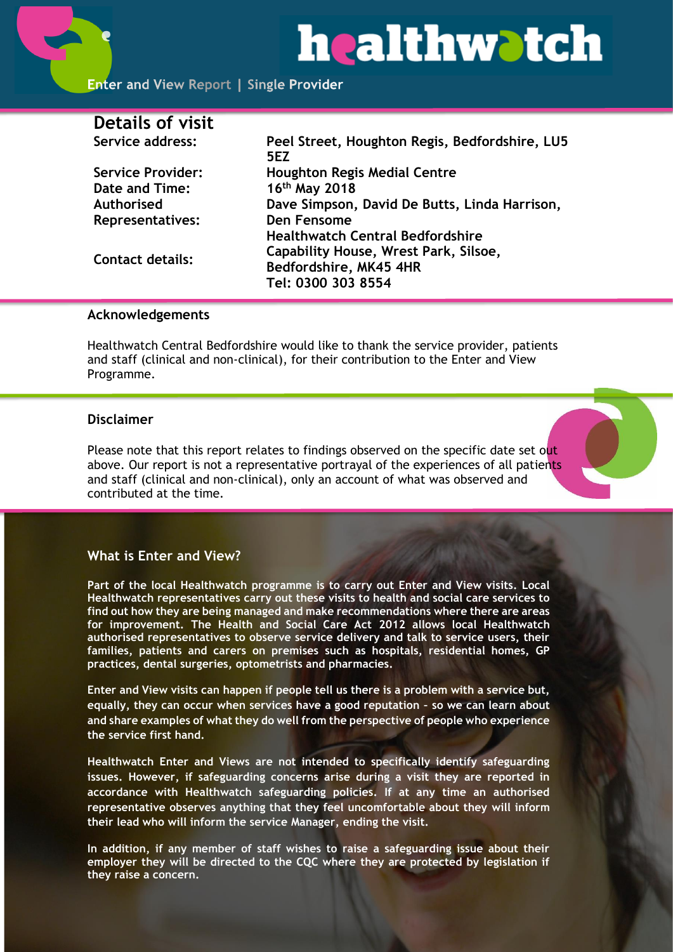# healthwatch

| <b>Details of visit</b>  |                                                       |
|--------------------------|-------------------------------------------------------|
| Service address:         | Peel Street, Houghton Regis, Bedfordshire, LU5<br>5F7 |
| <b>Service Provider:</b> | <b>Houghton Regis Medial Centre</b>                   |
| Date and Time:           | 16th May 2018                                         |
| Authorised               | Dave Simpson, David De Butts, Linda Harrison,         |
| <b>Representatives:</b>  | Den Fensome                                           |
|                          | <b>Healthwatch Central Bedfordshire</b>               |
| <b>Contact details:</b>  | Capability House, Wrest Park, Silsoe,                 |
|                          | Bedfordshire, MK45 4HR                                |
|                          | Tel: 0300 303 8554                                    |

#### **Acknowledgements**

Healthwatch Central Bedfordshire would like to thank the service provider, patients and staff (clinical and non-clinical), for their contribution to the Enter and View Programme.

#### **Disclaimer**

Please note that this report relates to findings observed on the specific date set out above. Our report is not a representative portrayal of the experiences of all patients and staff (clinical and non-clinical), only an account of what was observed and contributed at the time.

#### **What is Enter and View?**

**Part of the local Healthwatch programme is to carry out Enter and View visits. Local Healthwatch representatives carry out these visits to health and social care services to find out how they are being managed and make recommendations where there are areas for improvement. The Health and Social Care Act 2012 allows local Healthwatch authorised representatives to observe service delivery and talk to service users, their families, patients and carers on premises such as hospitals, residential homes, GP practices, dental surgeries, optometrists and pharmacies.** 

**Enter and View visits can happen if people tell us there is a problem with a service but, equally, they can occur when services have a good reputation – so we can learn about and share examples of what they do well from the perspective of people who experience the service first hand.**

**Healthwatch Enter and Views are not intended to specifically identify safeguarding issues. However, if safeguarding concerns arise during a visit they are reported in accordance with Healthwatch safeguarding policies. If at any time an authorised representative observes anything that they feel uncomfortable about they will inform their lead who will inform the service Manager, ending the visit.** 

**In addition, if any member of staff wishes to raise a safeguarding issue about their employer they will be directed to the CQC where they are protected by legislation if they raise a concern.**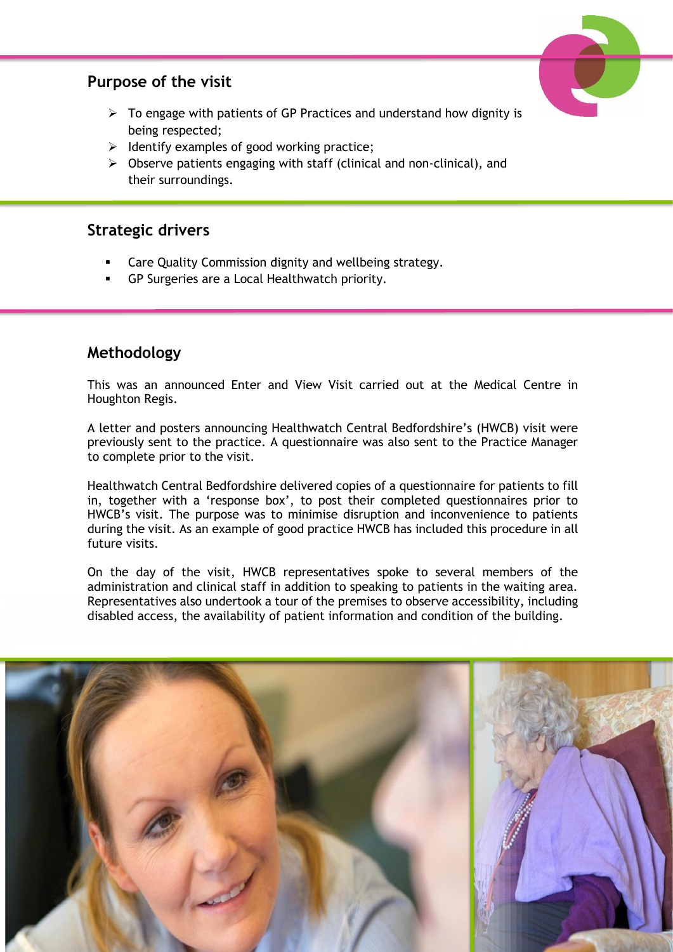#### **Purpose of the visit**



- $\triangleright$  To engage with patients of GP Practices and understand how dignity is being respected;
- $\triangleright$  Identify examples of good working practice;
- ➢ Observe patients engaging with staff (clinical and non-clinical), and their surroundings.

#### **Strategic drivers**

- Care Quality Commission dignity and wellbeing strategy.
- GP Surgeries are a Local Healthwatch priority.

#### **Methodology**

This was an announced Enter and View Visit carried out at the Medical Centre in Houghton Regis.

A letter and posters announcing Healthwatch Central Bedfordshire's (HWCB) visit were previously sent to the practice. A questionnaire was also sent to the Practice Manager to complete prior to the visit.

Healthwatch Central Bedfordshire delivered copies of a questionnaire for patients to fill in, together with a 'response box', to post their completed questionnaires prior to HWCB's visit. The purpose was to minimise disruption and inconvenience to patients during the visit. As an example of good practice HWCB has included this procedure in all future visits.

On the day of the visit, HWCB representatives spoke to several members of the administration and clinical staff in addition to speaking to patients in the waiting area. Representatives also undertook a tour of the premises to observe accessibility, including disabled access, the availability of patient information and condition of the building.

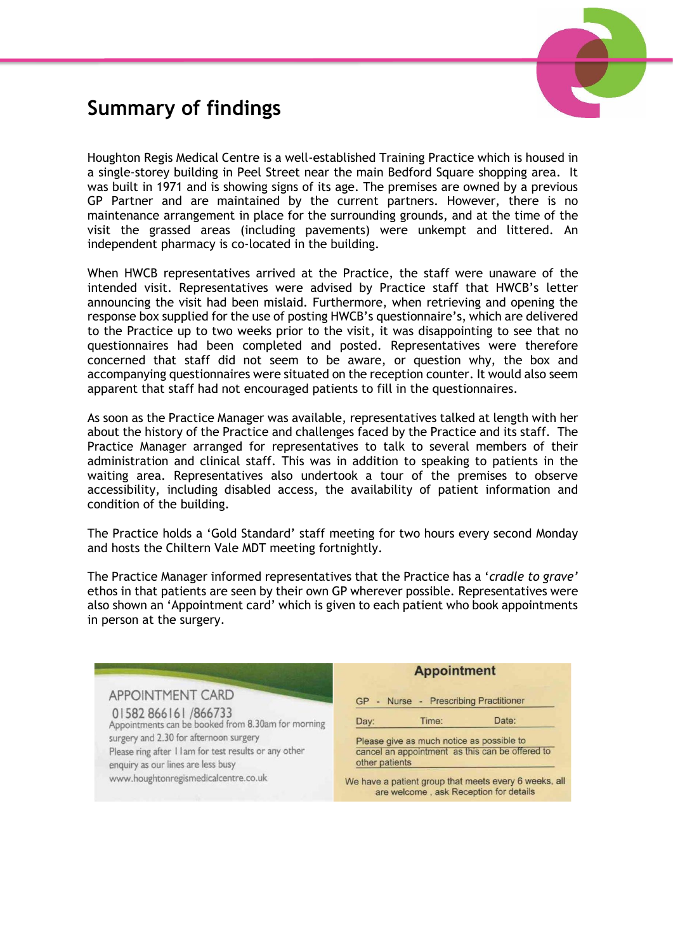

### **Summary of findings**

Houghton Regis Medical Centre is a well-established Training Practice which is housed in a single-storey building in Peel Street near the main Bedford Square shopping area. It was built in 1971 and is showing signs of its age. The premises are owned by a previous GP Partner and are maintained by the current partners. However, there is no maintenance arrangement in place for the surrounding grounds, and at the time of the visit the grassed areas (including pavements) were unkempt and littered. An independent pharmacy is co-located in the building.

When HWCB representatives arrived at the Practice, the staff were unaware of the intended visit. Representatives were advised by Practice staff that HWCB's letter announcing the visit had been mislaid. Furthermore, when retrieving and opening the response box supplied for the use of posting HWCB's questionnaire's, which are delivered to the Practice up to two weeks prior to the visit, it was disappointing to see that no questionnaires had been completed and posted. Representatives were therefore concerned that staff did not seem to be aware, or question why, the box and accompanying questionnaires were situated on the reception counter. It would also seem apparent that staff had not encouraged patients to fill in the questionnaires.

As soon as the Practice Manager was available, representatives talked at length with her about the history of the Practice and challenges faced by the Practice and its staff. The Practice Manager arranged for representatives to talk to several members of their administration and clinical staff. This was in addition to speaking to patients in the waiting area. Representatives also undertook a tour of the premises to observe accessibility, including disabled access, the availability of patient information and condition of the building.

The Practice holds a 'Gold Standard' staff meeting for two hours every second Monday and hosts the Chiltern Vale MDT meeting fortnightly.

The Practice Manager informed representatives that the Practice has a '*cradle to grave'* ethos in that patients are seen by their own GP wherever possible. Representatives were also shown an 'Appointment card' which is given to each patient who book appointments in person at the surgery.

| <b>Appointment</b>                                                                                                                                                                |                                                                                                 |
|-----------------------------------------------------------------------------------------------------------------------------------------------------------------------------------|-------------------------------------------------------------------------------------------------|
| GP - Nurse - Prescribing Practitioner<br>Date:<br>Time:<br>Day:<br>Please give as much notice as possible to<br>cancel an appointment as this can be offered to<br>other patients |                                                                                                 |
|                                                                                                                                                                                   | We have a patient group that meets every 6 weeks, all<br>are welcome, ask Reception for details |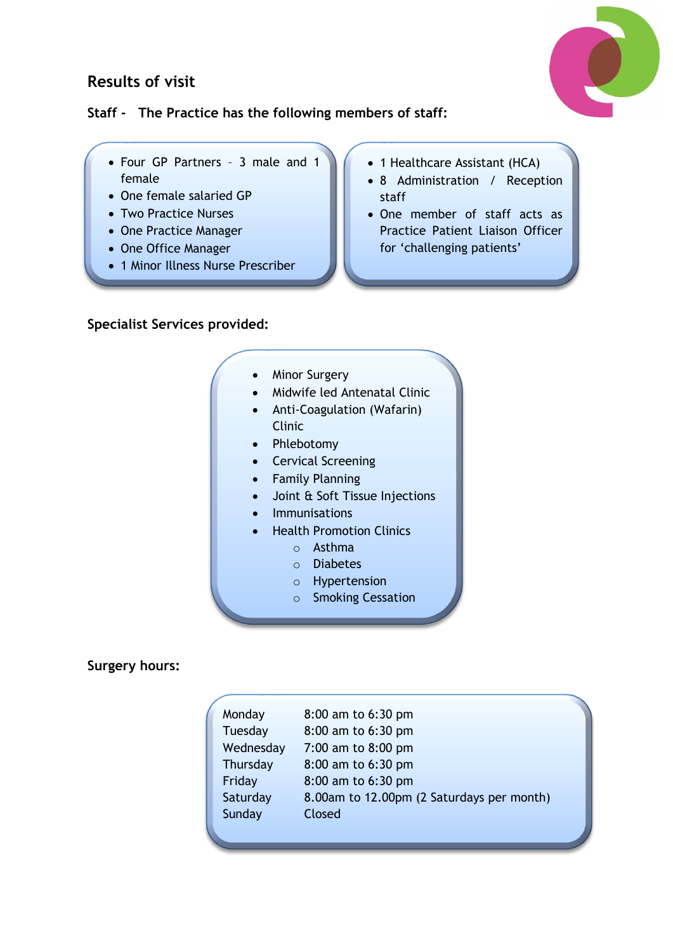#### **Results of visit**



#### **Staff - The Practice has the following members of staff:**

- Four GP Partners 3 male and 1 female
- One female salaried GP
- Two Practice Nurses
- One Practice Manager
- One Office Manager
- 1 Minor Illness Nurse Prescriber
- 1 Healthcare Assistant (HCA)
- 8 Administration / Reception staff
- One member of staff acts as Practice Patient Liaison Officer for 'challenging patients'

**Specialist Services provided:**

- **Minor Surgery**
- Midwife led Antenatal Clinic
- Anti-Coagulation (Wafarin) Clinic
- Phlebotomy
- Cervical Screening
- Family Planning
- Joint & Soft Tissue Injections
- **Immunisations**
- Health Promotion Clinics
	- o Asthma
		- o Diabetes
		- o Hypertension
		- o Smoking Cessation

#### **Surgery hours:**

| Monday    | 8:00 am to 6:30 pm                        |
|-----------|-------------------------------------------|
| Tuesday   | 8:00 am to 6:30 pm                        |
| Wednesday | 7:00 am to 8:00 pm                        |
| Thursday  | 8:00 am to 6:30 pm                        |
| Friday    | 8:00 am to 6:30 pm                        |
| Saturday  | 8.00am to 12.00pm (2 Saturdays per month) |
| Sunday    | Closed                                    |
|           |                                           |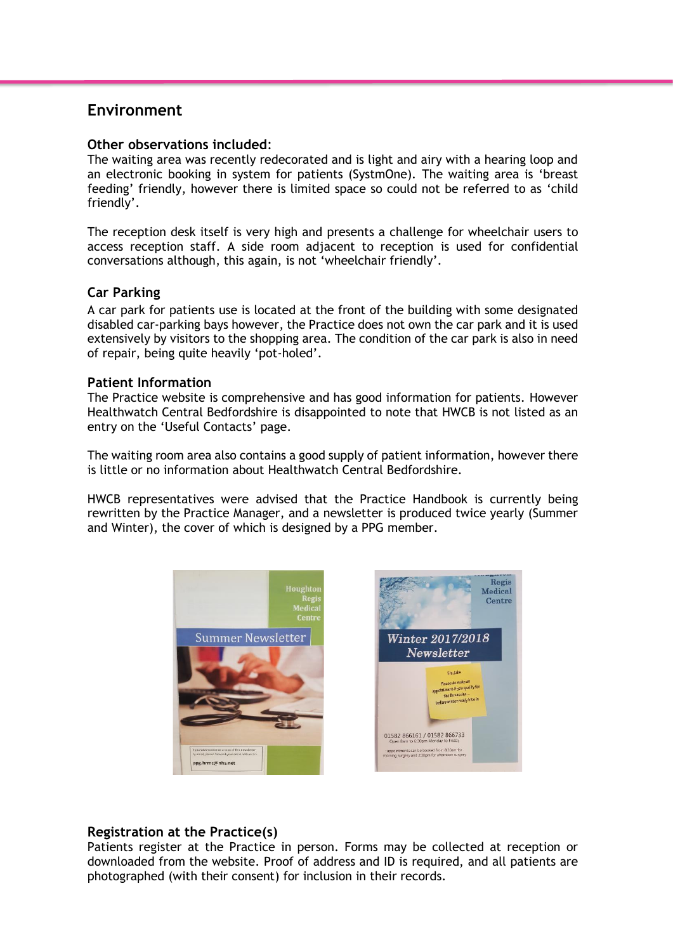#### **Environment**

#### **Other observations included**:

The waiting area was recently redecorated and is light and airy with a hearing loop and an electronic booking in system for patients (SystmOne). The waiting area is 'breast feeding' friendly, however there is limited space so could not be referred to as 'child friendly'.

The reception desk itself is very high and presents a challenge for wheelchair users to access reception staff. A side room adjacent to reception is used for confidential conversations although, this again, is not 'wheelchair friendly'.

#### **Car Parking**

A car park for patients use is located at the front of the building with some designated disabled car-parking bays however, the Practice does not own the car park and it is used extensively by visitors to the shopping area. The condition of the car park is also in need of repair, being quite heavily 'pot-holed'.

#### **Patient Information**

The Practice website is comprehensive and has good information for patients. However Healthwatch Central Bedfordshire is disappointed to note that HWCB is not listed as an entry on the 'Useful Contacts' page.

The waiting room area also contains a good supply of patient information, however there is little or no information about Healthwatch Central Bedfordshire.

HWCB representatives were advised that the Practice Handbook is currently being rewritten by the Practice Manager, and a newsletter is produced twice yearly (Summer and Winter), the cover of which is designed by a PPG member.



#### **Registration at the Practice(s)**

Patients register at the Practice in person. Forms may be collected at reception or downloaded from the website. Proof of address and ID is required, and all patients are photographed (with their consent) for inclusion in their records.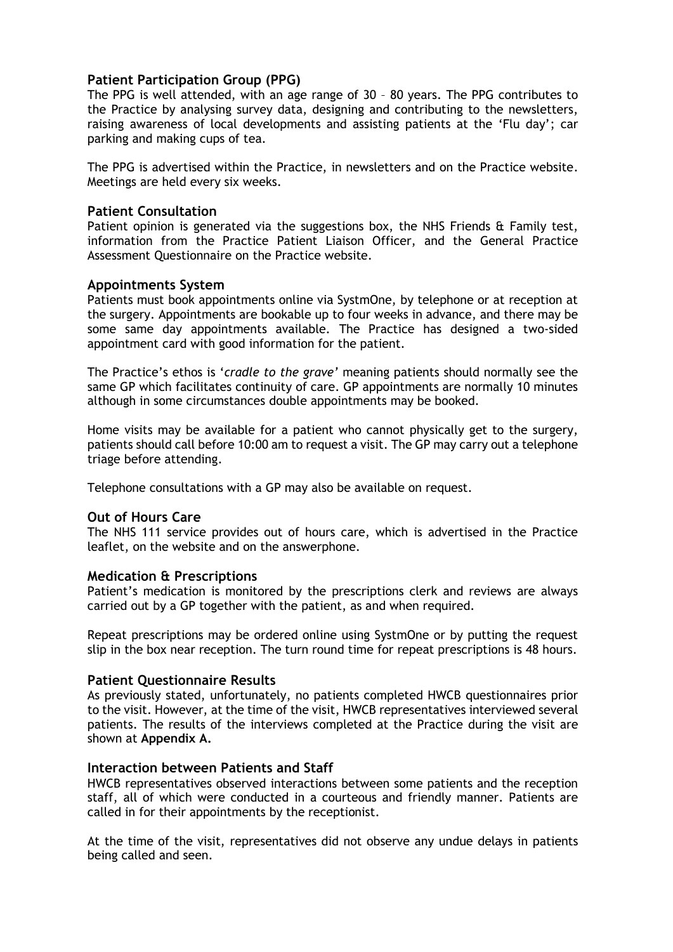#### **Patient Participation Group (PPG)**

The PPG is well attended, with an age range of 30 – 80 years. The PPG contributes to the Practice by analysing survey data, designing and contributing to the newsletters, raising awareness of local developments and assisting patients at the 'Flu day'; car parking and making cups of tea.

The PPG is advertised within the Practice, in newsletters and on the Practice website. Meetings are held every six weeks.

#### **Patient Consultation**

Patient opinion is generated via the suggestions box, the NHS Friends & Family test, information from the Practice Patient Liaison Officer, and the General Practice Assessment Questionnaire on the Practice website.

#### **Appointments System**

Patients must book appointments online via SystmOne, by telephone or at reception at the surgery. Appointments are bookable up to four weeks in advance, and there may be some same day appointments available. The Practice has designed a two-sided appointment card with good information for the patient.

The Practice's ethos is '*cradle to the grave'* meaning patients should normally see the same GP which facilitates continuity of care. GP appointments are normally 10 minutes although in some circumstances double appointments may be booked.

Home visits may be available for a patient who cannot physically get to the surgery, patients should call before 10:00 am to request a visit. The GP may carry out a telephone triage before attending.

Telephone consultations with a GP may also be available on request.

#### **Out of Hours Care**

The NHS 111 service provides out of hours care, which is advertised in the Practice leaflet, on the website and on the answerphone.

#### **Medication & Prescriptions**

Patient's medication is monitored by the prescriptions clerk and reviews are always carried out by a GP together with the patient, as and when required.

Repeat prescriptions may be ordered online using SystmOne or by putting the request slip in the box near reception. The turn round time for repeat prescriptions is 48 hours.

#### **Patient Questionnaire Results**

As previously stated, unfortunately, no patients completed HWCB questionnaires prior to the visit. However, at the time of the visit, HWCB representatives interviewed several patients. The results of the interviews completed at the Practice during the visit are shown at **Appendix A.**

#### **Interaction between Patients and Staff**

HWCB representatives observed interactions between some patients and the reception staff, all of which were conducted in a courteous and friendly manner. Patients are called in for their appointments by the receptionist.

At the time of the visit, representatives did not observe any undue delays in patients being called and seen.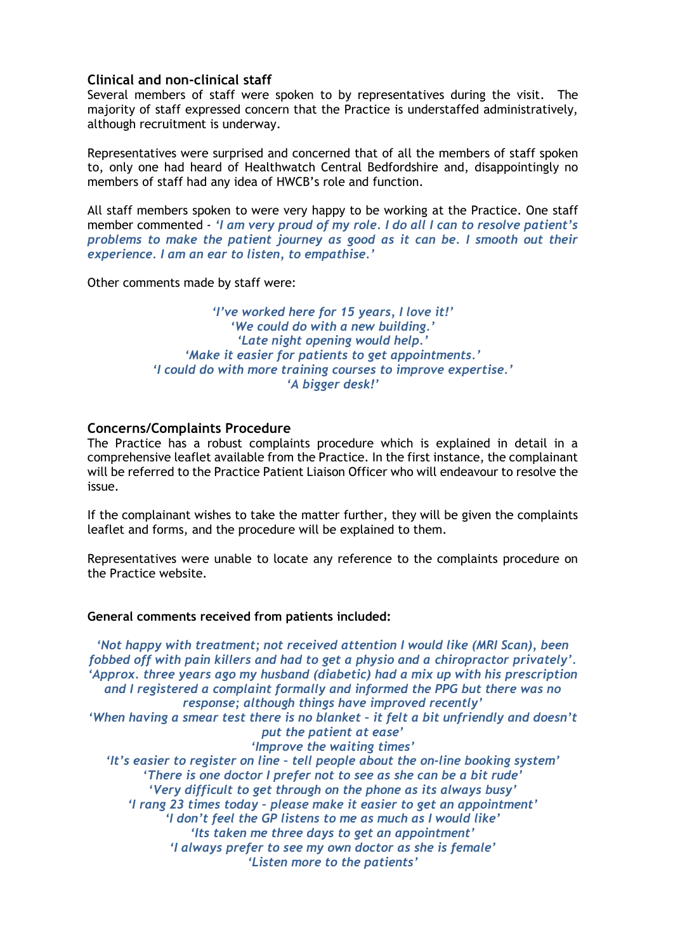#### **Clinical and non-clinical staff**

Several members of staff were spoken to by representatives during the visit. The majority of staff expressed concern that the Practice is understaffed administratively, although recruitment is underway.

Representatives were surprised and concerned that of all the members of staff spoken to, only one had heard of Healthwatch Central Bedfordshire and, disappointingly no members of staff had any idea of HWCB's role and function.

All staff members spoken to were very happy to be working at the Practice. One staff member commented - *'I am very proud of my role. I do all I can to resolve patient's problems to make the patient journey as good as it can be. I smooth out their experience. I am an ear to listen, to empathise.'*

Other comments made by staff were:

*'I've worked here for 15 years, I love it!' 'We could do with a new building.' 'Late night opening would help.' 'Make it easier for patients to get appointments.' 'I could do with more training courses to improve expertise.' 'A bigger desk!'*

#### **Concerns/Complaints Procedure**

The Practice has a robust complaints procedure which is explained in detail in a comprehensive leaflet available from the Practice. In the first instance, the complainant will be referred to the Practice Patient Liaison Officer who will endeavour to resolve the issue.

If the complainant wishes to take the matter further, they will be given the complaints leaflet and forms, and the procedure will be explained to them.

Representatives were unable to locate any reference to the complaints procedure on the Practice website.

#### **General comments received from patients included:**

*'Not happy with treatment; not received attention I would like (MRI Scan), been fobbed off with pain killers and had to get a physio and a chiropractor privately'. 'Approx. three years ago my husband (diabetic) had a mix up with his prescription and I registered a complaint formally and informed the PPG but there was no response; although things have improved recently' 'When having a smear test there is no blanket – it felt a bit unfriendly and doesn't put the patient at ease' 'Improve the waiting times' 'It's easier to register on line – tell people about the on-line booking system' 'There is one doctor I prefer not to see as she can be a bit rude' 'Very difficult to get through on the phone as its always busy' 'I rang 23 times today – please make it easier to get an appointment' 'I don't feel the GP listens to me as much as I would like' 'Its taken me three days to get an appointment' 'I always prefer to see my own doctor as she is female' 'Listen more to the patients'*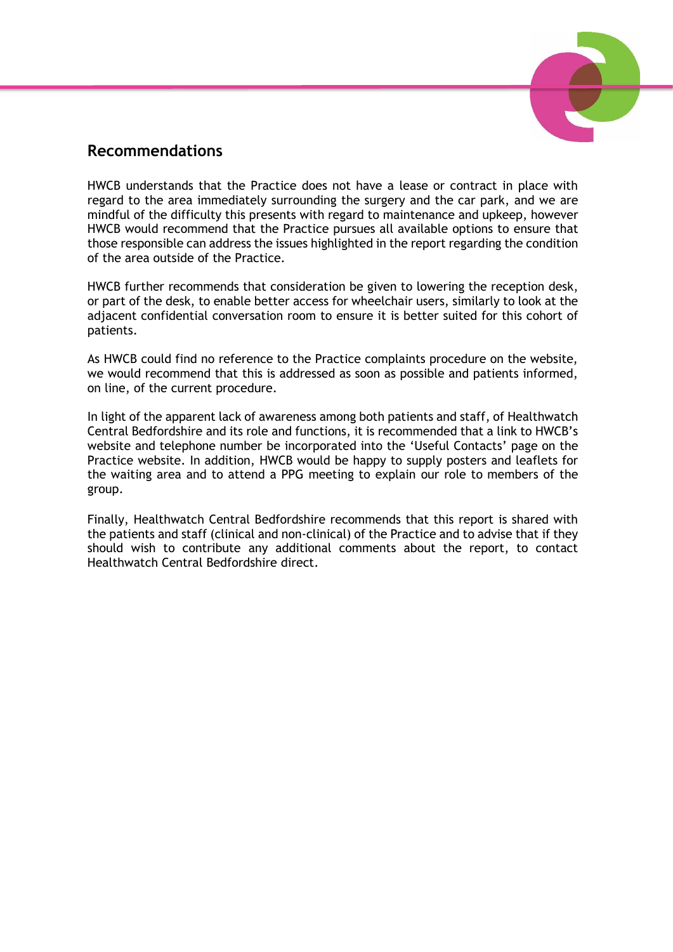

#### **Recommendations**

HWCB understands that the Practice does not have a lease or contract in place with regard to the area immediately surrounding the surgery and the car park, and we are mindful of the difficulty this presents with regard to maintenance and upkeep, however HWCB would recommend that the Practice pursues all available options to ensure that those responsible can address the issues highlighted in the report regarding the condition of the area outside of the Practice.

HWCB further recommends that consideration be given to lowering the reception desk, or part of the desk, to enable better access for wheelchair users, similarly to look at the adjacent confidential conversation room to ensure it is better suited for this cohort of patients.

As HWCB could find no reference to the Practice complaints procedure on the website, we would recommend that this is addressed as soon as possible and patients informed, on line, of the current procedure.

In light of the apparent lack of awareness among both patients and staff, of Healthwatch Central Bedfordshire and its role and functions, it is recommended that a link to HWCB's website and telephone number be incorporated into the 'Useful Contacts' page on the Practice website. In addition, HWCB would be happy to supply posters and leaflets for the waiting area and to attend a PPG meeting to explain our role to members of the group.

Finally, Healthwatch Central Bedfordshire recommends that this report is shared with the patients and staff (clinical and non-clinical) of the Practice and to advise that if they should wish to contribute any additional comments about the report, to contact Healthwatch Central Bedfordshire direct.